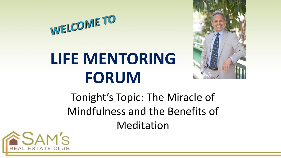

# **LIFE MENTORING FORUM**



Tonight's Topic: The Miracle of Mindfulness and the Benefits of Meditation

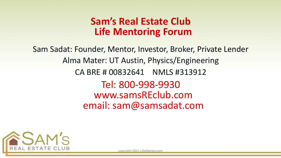#### **Sam's Real Estate Club Life Mentoring Forum**

Sam Sadat: Founder, Mentor, Investor, Broker, Private Lender Alma Mater: UT Austin, Physics/Engineering CA BRE # 00832641 NMLS #313912 Tel: 800-998-9930 www.samsREclub.com email: sam@samsadat.com



copyright 2021 LifeMentor.com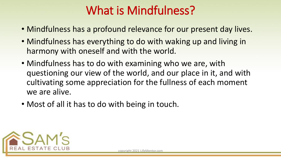#### What is Mindfulness?

- Mindfulness has a profound relevance for our present day lives.
- Mindfulness has everything to do with waking up and living in harmony with oneself and with the world.
- Mindfulness has to do with examining who we are, with questioning our view of the world, and our place in it, and with cultivating some appreciation for the fullness of each moment we are alive.
- Most of all it has to do with being in touch.

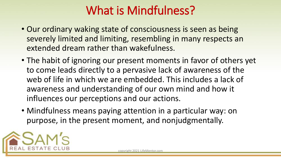#### What is Mindfulness?

- Our ordinary waking state of consciousness is seen as being severely limited and limiting, resembling in many respects an extended dream rather than wakefulness.
- The habit of ignoring our present moments in favor of others yet to come leads directly to a pervasive lack of awareness of the web of life in which we are embedded. This includes a lack of awareness and understanding of our own mind and how it influences our perceptions and our actions.
- Mindfulness means paying attention in a particular way: on purpose, in the present moment, and nonjudgmentally.

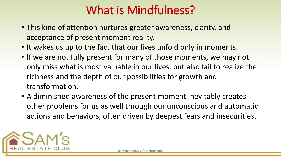#### What is Mindfulness?

- This kind of attention nurtures greater awareness, clarity, and acceptance of present moment reality.
- It wakes us up to the fact that our lives unfold only in moments.
- If we are not fully present for many of those moments, we may not only miss what is most valuable in our lives, but also fail to realize the richness and the depth of our possibilities for growth and transformation.
- A diminished awareness of the present moment inevitably creates other problems for us as well through our unconscious and automatic actions and behaviors, often driven by deepest fears and insecurities.

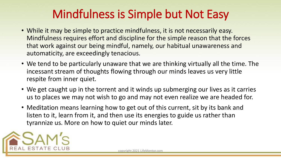### Mindfulness is Simple but Not Easy

- While it may be simple to practice mindfulness, it is not necessarily easy. Mindfulness requires effort and discipline for the simple reason that the forces that work against our being mindful, namely, our habitual unawareness and automaticity, are exceedingly tenacious.
- We tend to be particularly unaware that we are thinking virtually all the time. The incessant stream of thoughts flowing through our minds leaves us very little respite from inner quiet.
- We get caught up in the torrent and it winds up submerging our lives as it carries us to places we may not wish to go and may not even realize we are headed for.
- Meditation means learning how to get out of this current, sit by its bank and listen to it, learn from it, and then use its energies to guide us rather than tyrannize us. More on how to quiet our minds later.

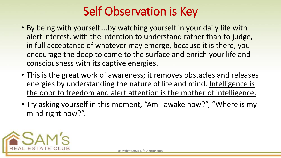#### Self Observation is Key

- By being with yourself….by watching yourself in your daily life with alert interest, with the intention to understand rather than to judge, in full acceptance of whatever may emerge, because it is there, you encourage the deep to come to the surface and enrich your life and consciousness with its captive energies.
- This is the great work of awareness; it removes obstacles and releases energies by understanding the nature of life and mind. Intelligence is the door to freedom and alert attention is the mother of intelligence.
- Try asking yourself in this moment, "Am I awake now?", "Where is my mind right now?".

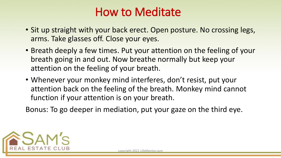#### How to Meditate

- Sit up straight with your back erect. Open posture. No crossing legs, arms. Take glasses off. Close your eyes.
- Breath deeply a few times. Put your attention on the feeling of your breath going in and out. Now breathe normally but keep your attention on the feeling of your breath.
- Whenever your monkey mind interferes, don't resist, put your attention back on the feeling of the breath. Monkey mind cannot function if your attention is on your breath.

Bonus: To go deeper in mediation, put your gaze on the third eye.

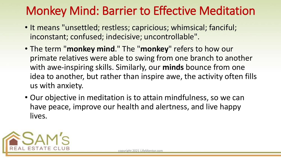#### Monkey Mind: Barrier to Effective Meditation

- It means "unsettled; restless; capricious; whimsical; fanciful; inconstant; confused; indecisive; uncontrollable".
- The term "**monkey mind**." The "**monkey**" refers to how our primate relatives were able to swing from one branch to another with awe-inspiring skills. Similarly, our **minds** bounce from one idea to another, but rather than inspire awe, the activity often fills us with anxiety.
- Our objective in meditation is to attain mindfulness, so we can have peace, improve our health and alertness, and live happy lives.